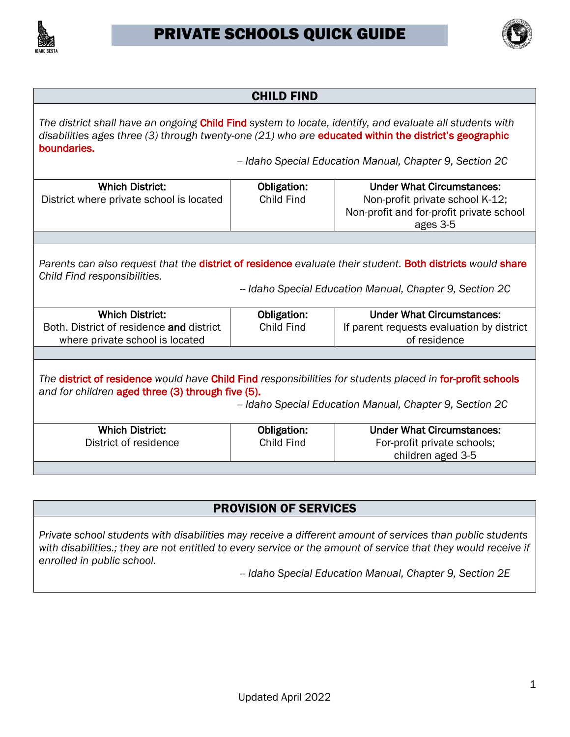



| <b>CHILD FIND</b>                                                                                                                                                                                                                                                                            |                                  |                                                                                               |  |  |
|----------------------------------------------------------------------------------------------------------------------------------------------------------------------------------------------------------------------------------------------------------------------------------------------|----------------------------------|-----------------------------------------------------------------------------------------------|--|--|
| The district shall have an ongoing Child Find system to locate, identify, and evaluate all students with<br>disabilities ages three (3) through twenty-one (21) who are educated within the district's geographic<br>boundaries.<br>-- Idaho Special Education Manual, Chapter 9, Section 2C |                                  |                                                                                               |  |  |
| <b>Which District:</b>                                                                                                                                                                                                                                                                       | Obligation:                      | <b>Under What Circumstances:</b>                                                              |  |  |
| District where private school is located                                                                                                                                                                                                                                                     | Child Find                       | Non-profit private school K-12;<br>Non-profit and for-profit private school<br>ages 3-5       |  |  |
|                                                                                                                                                                                                                                                                                              |                                  |                                                                                               |  |  |
| Parents can also request that the district of residence evaluate their student. Both districts would share<br>Child Find responsibilities.<br>- Idaho Special Education Manual, Chapter 9, Section 2C                                                                                        |                                  |                                                                                               |  |  |
| <b>Which District:</b><br>Both. District of residence and district<br>where private school is located                                                                                                                                                                                        | Obligation:<br>Child Find        | <b>Under What Circumstances:</b><br>If parent requests evaluation by district<br>of residence |  |  |
|                                                                                                                                                                                                                                                                                              |                                  |                                                                                               |  |  |
| The district of residence would have Child Find responsibilities for students placed in for-profit schools<br>and for children aged three (3) through five (5).<br>-- Idaho Special Education Manual, Chapter 9, Section 2C                                                                  |                                  |                                                                                               |  |  |
| <b>Which District:</b><br>District of residence                                                                                                                                                                                                                                              | Obligation:<br><b>Child Find</b> | <b>Under What Circumstances:</b><br>For-profit private schools;<br>children aged 3-5          |  |  |
|                                                                                                                                                                                                                                                                                              |                                  |                                                                                               |  |  |

#### PROVISION OF SERVICES

*Private school students with disabilities may receive a different amount of services than public students with disabilities.; they are not entitled to every service or the amount of service that they would receive if enrolled in public school.* 

*-- Idaho Special Education Manual, Chapter 9, Section 2E*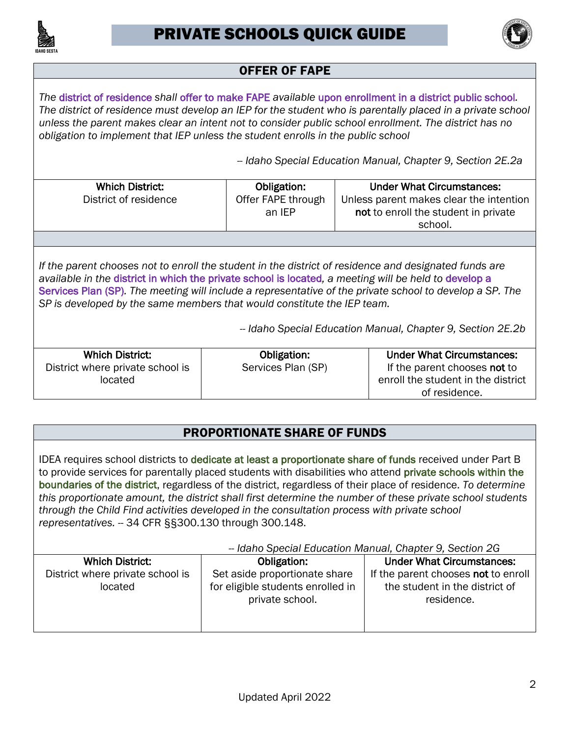



# OFFER OF FAPE

 *The* district of residence *shall* offer to make FAPE *available* upon enrollment in a district public school*. The district of residence must develop an IEP for the student who is parentally placed in a private school unless the parent makes clear an intent not to consider public school enrollment. The district has no obligation to implement that IEP unless the student enrolls in the public school* 

*-- Idaho Special Education Manual, Chapter 9, Section 2E.2a* 

| <b>Which District:</b>                                                                                                                                                              | Obligation:        | <b>Under What Circumstances:</b>        |  |
|-------------------------------------------------------------------------------------------------------------------------------------------------------------------------------------|--------------------|-----------------------------------------|--|
| District of residence                                                                                                                                                               | Offer FAPE through | Unless parent makes clear the intention |  |
|                                                                                                                                                                                     | an IEP             | not to enroll the student in private    |  |
|                                                                                                                                                                                     |                    |                                         |  |
|                                                                                                                                                                                     |                    | school.                                 |  |
|                                                                                                                                                                                     |                    |                                         |  |
|                                                                                                                                                                                     |                    |                                         |  |
| If the parent chooses not to enroll the student in the district of residence and designated funds are                                                                               |                    |                                         |  |
| available in the district in which the private school is located, a meeting will be held to develop a                                                                               |                    |                                         |  |
|                                                                                                                                                                                     |                    |                                         |  |
| Services Plan (SP). The meeting will include a representative of the private school to develop a SP. The<br>SP is developed by the same members that would constitute the IEP team. |                    |                                         |  |
|                                                                                                                                                                                     |                    |                                         |  |
|                                                                                                                                                                                     |                    |                                         |  |
| - Idaho Special Education Manual, Chapter 9, Section 2E.2b                                                                                                                          |                    |                                         |  |
|                                                                                                                                                                                     |                    |                                         |  |
| <b>Which District:</b>                                                                                                                                                              | Obligation:        | <b>Under What Circumstances:</b>        |  |
| District where private school is                                                                                                                                                    | Services Plan (SP) | If the parent chooses not to            |  |
| located                                                                                                                                                                             |                    | enroll the student in the district      |  |
|                                                                                                                                                                                     |                    | of residence.                           |  |
|                                                                                                                                                                                     |                    |                                         |  |

## PROPORTIONATE SHARE OF FUNDS

IDEA requires school districts to dedicate at least a proportionate share of funds received under Part B to provide services for parentally placed students with disabilities who attend private schools within the boundaries of the district, regardless of the district, regardless of their place of residence. *To determine representatives.* -- 34 CFR §§300.130 through 300.148. *this proportionate amount, the district shall first determine the number of these private school students through the Child Find activities developed in the consultation process with private school* 

| - Idaho Special Education Manual, Chapter 9, Section 2G |                                                                                       |                                                                                     |  |
|---------------------------------------------------------|---------------------------------------------------------------------------------------|-------------------------------------------------------------------------------------|--|
| <b>Which District:</b>                                  | Obligation:                                                                           | <b>Under What Circumstances:</b>                                                    |  |
| District where private school is<br>located             | Set aside proportionate share<br>for eligible students enrolled in<br>private school. | If the parent chooses not to enroll<br>the student in the district of<br>residence. |  |